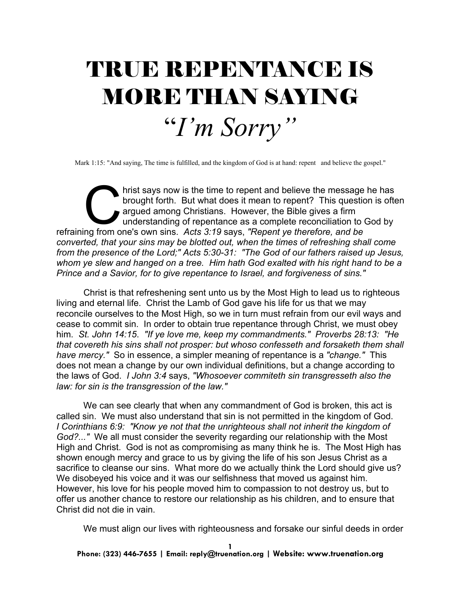## TRUE REPENTANCE IS MORE THAN SAYING "*I'm Sorry"*

Mark 1:15: "And saying, The time is fulfilled, and the kingdom of God is at hand: repent and believe the gospel."

hrist says now is the time to repent and believe the message he has<br>brought forth. But what does it mean to repent? This question is ofter<br>argued among Christians. However, the Bible gives a firm<br>understanding of repentanc brought forth. But what does it mean to repent? This question is often argued among Christians. However, the Bible gives a firm understanding of repentance as a complete reconciliation to God by refraining from one's own sins. *Acts 3:19* says, *"Repent ye therefore, and be converted, that your sins may be blotted out, when the times of refreshing shall come from the presence of the Lord;" Acts 5:30-31: "The God of our fathers raised up Jesus, whom ye slew and hanged on a tree. Him hath God exalted with his right hand to be a Prince and a Savior, for to give repentance to Israel, and forgiveness of sins."*

Christ is that refreshening sent unto us by the Most High to lead us to righteous living and eternal life. Christ the Lamb of God gave his life for us that we may reconcile ourselves to the Most High, so we in turn must refrain from our evil ways and cease to commit sin. In order to obtain true repentance through Christ, we must obey him. *St. John 14:15*. *"If ye love me, keep my commandments." Proverbs 28:13: "He that covereth his sins shall not prosper: but whoso confesseth and forsaketh them shall have mercy."* So in essence, a simpler meaning of repentance is a *"change."* This does not mean a change by our own individual definitions, but a change according to the laws of God. *I John 3:4* says, *"Whosoever commiteth sin transgresseth also the law: for sin is the transgression of the law."*

We can see clearly that when any commandment of God is broken, this act is called sin. We must also understand that sin is not permitted in the kingdom of God. *I Corinthians 6:9: "Know ye not that the unrighteous shall not inherit the kingdom of God?..."* We all must consider the severity regarding our relationship with the Most High and Christ. God is not as compromising as many think he is. The Most High has shown enough mercy and grace to us by giving the life of his son Jesus Christ as a sacrifice to cleanse our sins. What more do we actually think the Lord should give us? We disobeyed his voice and it was our selfishness that moved us against him. However, his love for his people moved him to compassion to not destroy us, but to offer us another chance to restore our relationship as his children, and to ensure that Christ did not die in vain.

We must align our lives with righteousness and forsake our sinful deeds in order